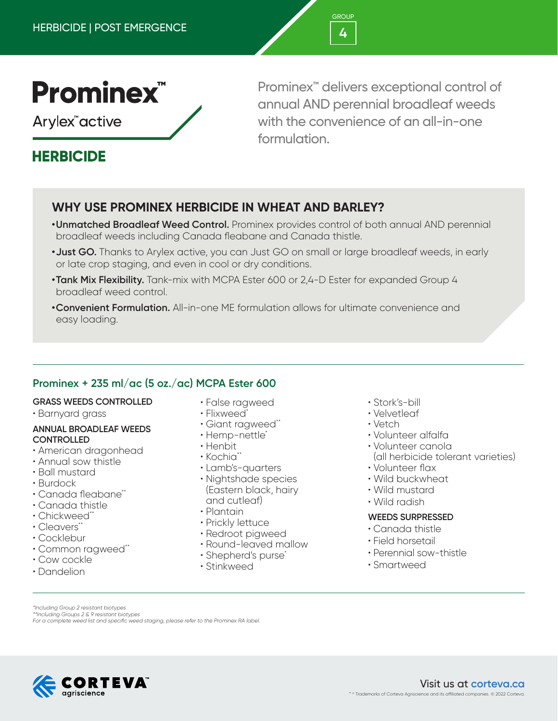

Arylex<sup>"</sup>active

# **HERBICIDE**

Prominex™ delivers exceptional control of annual AND perennial broadleaf weeds with the convenience of an all-in-one formulation.

# **WHY USE PROMINEX HERBICIDE IN WHEAT AND BARLEY?**

- **•Unmatched Broadleaf Weed Control.** Prominex provides control of both annual AND perennial broadleaf weeds including Canada fleabane and Canada thistle.
- **•Just GO.** Thanks to Arylex active, you can Just GO on small or large broadleaf weeds, in early or late crop staging, and even in cool or dry conditions.
- **•Tank Mix Flexibility.** Tank-mix with MCPA Ester 600 or 2,4-D Ester for expanded Group 4 broadleaf weed control.
- **•Convenient Formulation.** All-in-one ME formulation allows for ultimate convenience and easy loading.

## **Prominex + 235 ml/ac (5 oz./ac) MCPA Ester 600**

#### **GRASS WEEDS CONTROLLED**

• Barnyard grass

#### **ANNUAL BROADLEAF WEEDS CONTROLLED**

- American dragonhead
- Annual sow thistle
- Ball mustard
- Burdock
- Canada fleabane\*\*
- Canada thistle
- Chickweed\*\*
- Cleavers\*\*
- Cocklebur
- Common ragweed\*\*
- Cow cockle
- Dandelion
- False ragweed
- Flixweed\*
- Giant ragweed\*\*
- Hemp-nettle\*
- Henbit
- Kochia<sup>\*</sup>\*
- Lamb's-quarters
- Nightshade species (Eastern black, hairy and cutleaf)
- Plantain
- Prickly lettuce
- Redroot pigweed
- Round-leaved mallow
- Shepherd's purse<sup>\*</sup>
- Stinkweed
- Stork's-bill
- Velvetleaf
- Vetch
- Volunteer alfalfa
- Volunteer canola
- (all herbicide tolerant varieties)
- Volunteer flax
- Wild buckwheat
- Wild mustard
- Wild radish

#### **WEEDS SURPRESSED**

- Canada thistle
- Field horsetail
- Perennial sow-thistle
- Smartweed

*\*Including Group 2 resistant biotypes \*\*Including Groups 2 & 9 resistant biotypes*

*For a complete weed list and specific weed staging, please refer to the Prominex RA label.*